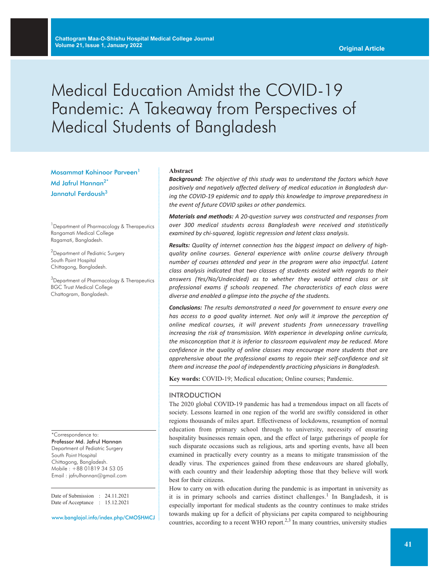# Medical Education Amidst the COVID-19 Pandemic: A Takeaway from Perspectives of Medical Students of Bangladesh

Mosammat Kohinoor Parveen<sup>1</sup> Md Jafrul Hannan<sup>2\*</sup> Jannatul Ferdoush<sup>3</sup>

<sup>1</sup> Department of Pharmacology & Therapeutics Rangamati Medical College Ragamati, Bangladesh.

<sup>2</sup>Department of Pediatric Surgery South Point Hospital Chittagong, Bangladesh.

 $^3$ Department of Pharmacology & Therapeutics BGC Trust Medical College Chattogram, Bangladesh.

\*Correspondence to: Professor Md. Jafrul Hannan Department of Pediatric Surgery South Point Hospital Chittagong, Bangladesh. Mobile : +88 01819 34 53 05 Email : jafrulhannan@gmail.com

Date of Submission : 24.11.2021 Date of Acceptance : 15.12.2021

www.banglajol.info/index.php/CMOSHMCJ

#### **Abstract**

*Background: The objective of this study was to understand the factors which have positively and negatively affected delivery of medical education in Bangladesh during the COVID-19 epidemic and to apply this knowledge to improve preparedness in the event of future COVID spikes or other pandemics.*

*Materials and methods: A 20-question survey was constructed and responses from over 300 medical students across Bangladesh were received and statistically examined by chi-squared, logistic regression and latent class analysis.*

*Results: Quality of internet connection has the biggest impact on delivery of highquality online courses. General experience with online course delivery through number of courses attended and year in the program were also impactful. Latent class analysis indicated that two classes of students existed with regards to their answers (Yes/No/Undecided) as to whether they would attend class or sit professional exams if schools reopened. The characteristics of each class were diverse and enabled a glimpse into the psyche of the students.*

*Conclusions: The results demonstrated a need for government to ensure every one has access to a good quality internet. Not only will it improve the perception of online medical courses, it will prevent students from unnecessary travelling increasing the risk of transmission. With experience in developing online curricula, the misconception that it is inferior to classroom equivalent may be reduced. More confidence in the quality of online classes may encourage more students that are apprehensive about the professional exams to regain their self-confidence and sit them and increase the pool of independently practicing physicians in Bangladesh.*

**Key words:** COVID-19; Medical education; Online courses; Pandemic.

#### INTRODUCTION

The 2020 global COVID-19 pandemic has had a tremendous impact on all facets of society. Lessons learned in one region of the world are swiftly considered in other regions thousands of miles apart. Effectiveness of lockdowns, resumption of normal education from primary school through to university, necessity of ensuring hospitality businesses remain open, and the effect of large gatherings of people for such disparate occasions such as religious, arts and sporting events, have all been examined in practically every country as a means to mitigate transmission of the deadly virus. The experiences gained from these endeavours are shared globally, with each country and their leadership adopting those that they believe will work best for their citizens.

How to carry on with education during the pandemic is as important in university as it is in primary schools and carries distinct challenges.<sup>1</sup> In Bangladesh, it is especially important for medical students as the country continues to make strides towards making up for a deficit of physicians per capita compared to neighbouring countries, according to a recent WHO report.<sup>2,3</sup> In many countries, university studies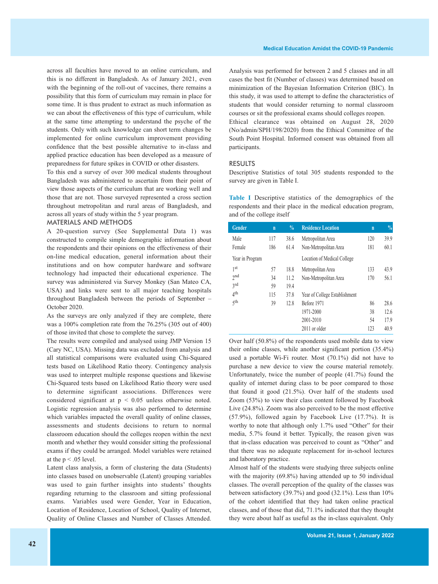across all faculties have moved to an online curriculum, and this is no different in Bangladesh. As of January 2021, even with the beginning of the roll-out of vaccines, there remains a possibility that this form of curriculum may remain in place for some time. It is thus prudent to extract as much information as we can about the effectiveness of this type of curriculum, while at the same time attempting to understand the psyche of the students. Only with such knowledge can short term changes be implemented for online curriculum improvement providing confidence that the best possible alternative to in-class and applied practice education has been developed as a measure of preparedness for future spikes in COVID or other disasters.

To this end a survey of over 300 medical students throughout Bangladesh was administered to ascertain from their point of view those aspects of the curriculum that are working well and those that are not. Those surveyed represented a cross section throughout metropolitan and rural areas of Bangladesh, and across all years of study within the 5 year program.

## MATERIALS AND METHODS

A 20-question survey (See Supplemental Data 1) was constructed to compile simple demographic information about the respondents and their opinions on the effectiveness of their on-line medical education, general information about their institutions and on how computer hardware and software technology had impacted their educational experience. The survey was administered via Survey Monkey (San Mateo CA, USA) and links were sent to all major teaching hospitals throughout Bangladesh between the periods of September – October 2020.

As the surveys are only analyzed if they are complete, there was a 100% completion rate from the 76.25% (305 out of 400) of those invited that chose to complete the survey.

The results were compiled and analysed using JMP Version 15 (Cary NC, USA). Missing data was excluded from analysis and all statistical comparisons were evaluated using Chi-Squared tests based on Likelihood Ratio theory. Contingency analysis was used to interpret multiple response questions and likewise Chi-Squared tests based on Likelihood Ratio theory were used to determine significant associations. Differences were considered significant at p < 0.05 unless otherwise noted. Logistic regression analysis was also performed to determine which variables impacted the overall quality of online classes, assessments and students decisions to return to normal classroom education should the colleges reopen within the next month and whether they would consider sitting the professional exams if they could be arranged. Model variables were retained at the  $p < .05$  level.

Latent class analysis, a form of clustering the data (Students) into classes based on unobservable (Latent) grouping variables was used to gain further insights into students' thoughts regarding returning to the classroom and sitting professional exams. Variables used were Gender, Year in Education, Location of Residence, Location of School, Quality of Internet, Quality of Online Classes and Number of Classes Attended.

Analysis was performed for between 2 and 5 classes and in all cases the best fit (Number of classes) was determined based on minimization of the Bayesian Information Criterion (BIC). In this study, it was used to attempt to define the characteristics of students that would consider returning to normal classroom courses or sit the professional exams should colleges reopen. Ethical clearance was obtained on August 28, 2020 (No/admin/SPH/198/2020) from the Ethical Committee of the South Point Hospital. Informed consent was obtained from all participants.

#### RESULTS

Descriptive Statistics of total 305 students responded to the survey are given in Table I.

**Table I** Descriptive statistics of the demographics of the respondents and their place in the medical education program, and of the college itself

| Gender          | $\overline{\mathsf{n}}$ | $\frac{0}{0}$ | <b>Residence Location</b>     | $\mathbf n$ | $\frac{0}{0}$ |
|-----------------|-------------------------|---------------|-------------------------------|-------------|---------------|
| Male            | 117                     | 38.6          | Metropolitan Area             | 120         | 39.9          |
| Female          | 186                     | 61.4          | Non-Metropolitan Area         | 181         | 60.1          |
| Year in Program |                         |               | Location of Medical College   |             |               |
| 1st             | 57                      | 18.8          | Metropolitan Area             | 133         | 43.9          |
| 2nd             | 34                      | 11.2          | Non-Metropolitan Area         | 170         | 56.1          |
| 3rd             | 59                      | 19.4          |                               |             |               |
| 4 <sup>th</sup> | 115                     | 37.8          | Year of College Establishment |             |               |
| $\zeta$ th      | 39                      | 12.8          | Before 1971                   | 86          | 28.6          |
|                 |                         |               | 1971-2000                     | 38          | 12.6          |
|                 |                         |               | 2001-2010                     | 54          | 17.9          |
|                 |                         |               | 2011 or older                 | 123         | 40.9          |

Over half (50.8%) of the respondents used mobile data to view their online classes, while another significant portion (35.4%) used a portable Wi-Fi router. Most (70.1%) did not have to purchase a new device to view the course material remotely. Unfortunately, twice the number of people (41.7%) found the quality of internet during class to be poor compared to those that found it good (21.5%). Over half of the students used Zoom (53%) to view their class content followed by Facebook Live (24.8%). Zoom was also perceived to be the most effective (57.9%), followed again by Facebook Live (17.7%). It is worthy to note that although only 1.7% used "Other" for their media, 5.7% found it better. Typically, the reason given was that in-class education was perceived to count as "Other" and that there was no adequate replacement for in-school lectures and laboratory practice.

Almost half of the students were studying three subjects online with the majority (69.8%) having attended up to 50 individual classes. The overall perception of the quality of the classes was between satisfactory (39.7%) and good (32.1%). Less than 10% of the cohort identified that they had taken online practical classes, and of those that did, 71.1% indicated that they thought they were about half as useful as the in-class equivalent. Only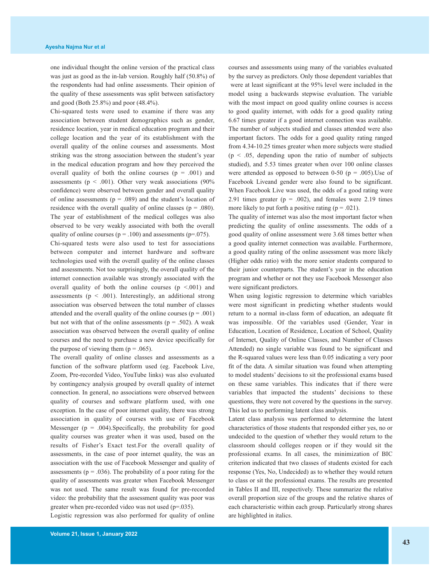one individual thought the online version of the practical class was just as good as the in-lab version. Roughly half (50.8%) of the respondents had had online assessments. Their opinion of the quality of these assessments was split between satisfactory and good (Both 25.8%) and poor (48.4%).

Chi-squared tests were used to examine if there was any association between student demographics such as gender, residence location, year in medical education program and their college location and the year of its establishment with the overall quality of the online courses and assessments. Most striking was the strong association between the student's year in the medical education program and how they perceived the overall quality of both the online courses  $(p = .001)$  and assessments ( $p < .001$ ). Other very weak associations (90%) confidence) were observed between gender and overall quality of online assessments ( $p = .089$ ) and the student's location of residence with the overall quality of online classes ( $p = .080$ ). The year of establishment of the medical colleges was also observed to be very weakly associated with both the overall quality of online courses ( $p = .100$ ) and assessments ( $p = .075$ ).

Chi-squared tests were also used to test for associations between computer and internet hardware and software technologies used with the overall quality of the online classes and assessments. Not too surprisingly, the overall quality of the internet connection available was strongly associated with the overall quality of both the online courses  $(p \le 0.001)$  and assessments ( $p < .001$ ). Interestingly, an additional strong association was observed between the total number of classes attended and the overall quality of the online courses  $(p = .001)$ but not with that of the online assessments ( $p = .502$ ). A weak association was observed between the overall quality of online courses and the need to purchase a new device specifically for the purpose of viewing them  $(p = .065)$ .

The overall quality of online classes and assessments as a function of the software platform used (eg. Facebook Live, Zoom, Pre-recorded Video, YouTube links) was also evaluated by contingency analysis grouped by overall quality of internet connection. In general, no associations were observed between quality of courses and software platform used, with one exception. In the case of poor internet quality, there was strong association in quality of courses with use of Facebook Messenger ( $p = .004$ ). Specifically, the probability for good quality courses was greater when it was used, based on the results of Fisher's Exact test.For the overall quality of assessments, in the case of poor internet quality, the was an association with the use of Facebook Messenger and quality of assessments ( $p = .036$ ). The probability of a poor rating for the quality of assessments was greater when Facebook Messenger was not used. The same result was found for pre-recorded video: the probability that the assessment quality was poor was greater when pre-recorded video was not used (p=.035).

Logistic regression was also performed for quality of online

courses and assessments using many of the variables evaluated by the survey as predictors. Only those dependent variables that were at least significant at the 95% level were included in the model using a backwards stepwise evaluation. The variable with the most impact on good quality online courses is access to good quality internet, with odds for a good quality rating 6.67 times greater if a good internet connection was available. The number of subjects studied and classes attended were also important factors. The odds for a good quality rating ranged from 4.34-10.25 times greater when more subjects were studied  $(p \le 0.05$ , depending upon the ratio of number of subjects studied), and 5.53 times greater when over 100 online classes were attended as opposed to between 0-50 ( $p = .005$ ).Use of Facebook Liveand gender were also found to be significant. When Facebook Live was used, the odds of a good rating were 2.91 times greater ( $p = .002$ ), and females were 2.19 times more likely to put forth a positive rating  $(p = .021)$ .

The quality of internet was also the most important factor when predicting the quality of online assessments. The odds of a good quality of online assessment were 3.68 times better when a good quality internet connection was available. Furthermore, a good quality rating of the online assessment was more likely (Higher odds ratio) with the more senior students compared to their junior counterparts. The student's year in the education program and whether or not they use Facebook Messenger also were significant predictors.

When using logistic regression to determine which variables were most significant in predicting whether students would return to a normal in-class form of education, an adequate fit was impossible. Of the variables used (Gender, Year in Education, Location of Residence, Location of School, Quality of Internet, Quality of Online Classes, and Number of Classes Attended) no single variable was found to be significant and the R-squared values were less than 0.05 indicating a very poor fit of the data. A similar situation was found when attempting to model students' decisions to sit the professional exams based on these same variables. This indicates that if there were variables that impacted the students' decisions to these questions, they were not covered by the questions in the survey. This led us to performing latent class analysis.

Latent class analysis was performed to determine the latent characteristics of those students that responded either yes, no or undecided to the question of whether they would return to the classroom should colleges reopen or if they would sit the professional exams. In all cases, the minimization of BIC criterion indicated that two classes of students existed for each response (Yes, No, Undecided) as to whether they would return to class or sit the professional exams. The results are presented in Tables II and III, respectively. These summarize the relative overall proportion size of the groups and the relative shares of each characteristic within each group. Particularly strong shares are highlighted in italics.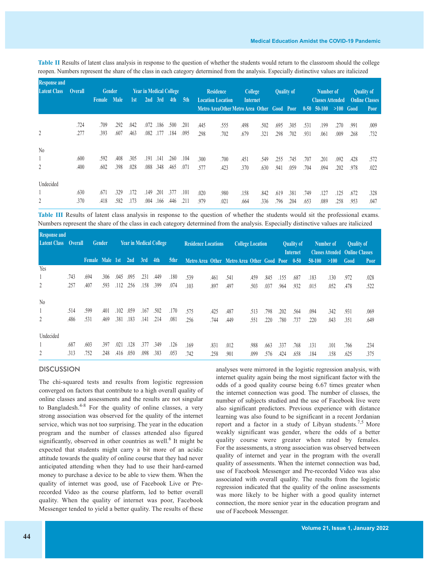| <b>Response and</b> |                |               |             |                                |      |         |      |                  |                                             |                                            |      |                   |      |                         |          |          |                       |      |             |
|---------------------|----------------|---------------|-------------|--------------------------------|------|---------|------|------------------|---------------------------------------------|--------------------------------------------|------|-------------------|------|-------------------------|----------|----------|-----------------------|------|-------------|
| <b>Latent Class</b> | <b>Overall</b> | <b>Gender</b> |             | <b>Year in Medical College</b> |      |         |      | <b>Residence</b> |                                             | College                                    |      | <b>Quality of</b> |      | Number of               |          |          | <b>Quality of</b>     |      |             |
|                     |                | Female        | <b>Male</b> | 1st                            |      | 2nd 3rd | 4th  | 5th              | <b>Location Location</b><br><b>Internet</b> |                                            |      |                   |      | <b>Classes Attended</b> |          |          | <b>Online Classes</b> |      |             |
|                     |                |               |             |                                |      |         |      |                  |                                             | Metro AreaOther Metro Area Other Good Poor |      |                   |      |                         | $0 - 50$ | $50-100$ | >100                  | Good | <b>Poor</b> |
|                     |                |               |             |                                |      |         |      |                  |                                             |                                            |      |                   |      |                         |          |          |                       |      |             |
|                     | .724           | .709          | .292        | .042                           | .072 | .186    | .500 | .201             | .445                                        | .555                                       | .498 | .502              | .695 | .305                    | .531     | .199     | .270                  | .991 | .009        |
| 2                   | .277           | .393          | .607        | .463                           | .082 | .177    | .184 | .095             | .298                                        | .702                                       | .679 | .321              | .298 | .702                    | .931     | .061     | .009                  | .268 | .732        |
| $\rm No$            |                |               |             |                                |      |         |      |                  |                                             |                                            |      |                   |      |                         |          |          |                       |      |             |
|                     | .600           | .592          | .408        | .305                           | .191 | .141    | .260 | .104             | .300                                        | .700                                       | .451 | .549              | .255 | .745                    | .707     | .201     | .092                  | .428 | .572        |
| 2                   | .400           | .602          | .398        | .028                           | .088 | .348    | .465 | .071             | .577                                        | .423                                       | .370 | .630              | .941 | .059                    | .704     | .094     | .202                  | .978 | .022        |
| Undecided           |                |               |             |                                |      |         |      |                  |                                             |                                            |      |                   |      |                         |          |          |                       |      |             |
|                     | .630           | .671          | 329         | .172                           | .149 | .201    | .377 | .101             | .020                                        | .980                                       | .158 | .842              | .619 | .381                    | .749     | .127     | 125                   | .672 | .328        |
| 2                   | .370           | .418          | .582        | .173                           | .004 | .166    | .446 | .211             | .979                                        | .021                                       | .664 | .336              | .796 | .204                    | .653     | .089     | .258                  | .953 | .047        |

**Table II** Results of latent class analysis in response to the question of whether the students would return to the classroom should the college reopen. Numbers represent the share of the class in each category determined from the analysis. Especially distinctive values are italicized

**Table III** Results of latent class analysis in response to the question of whether the students would sit the professional exams. Numbers represent the share of the class in each category determined from the analysis. Especially distinctive values are italicized

| <b>Response and</b><br><b>Latent Class</b> | <b>Overall</b> |                 | Gender |      | <b>Year in Medical College</b> |      |      |      | <b>Residence Locations</b> |      | <b>College Location</b>                          |      |      | <b>Quality of</b><br><b>Internet</b> |      | Number of<br><b>Classes Attended</b> |      | <b>Quality of</b><br><b>Online Classes</b> |             |
|--------------------------------------------|----------------|-----------------|--------|------|--------------------------------|------|------|------|----------------------------|------|--------------------------------------------------|------|------|--------------------------------------|------|--------------------------------------|------|--------------------------------------------|-------------|
|                                            |                | Female Male 1st |        |      | 2nd                            | 3rd  | 4th  | 5thr |                            |      | Metro Area Other Metro Area Other Good Poor 0-50 |      |      |                                      |      | $50-100$                             | >100 | Good                                       | <b>Poor</b> |
| Yes                                        |                |                 |        |      |                                |      |      |      |                            |      |                                                  |      |      |                                      |      |                                      |      |                                            |             |
|                                            | .743           | .694            | .306   | .045 | .095                           | .231 | .449 | .180 | .539                       | .461 | .541                                             | .459 | .845 | .155                                 | .687 | .183                                 | .130 | .972                                       | .028        |
| 2                                          | .257           | .407            | .593   | .112 | .256                           | .158 | .399 | .074 | .103                       | .897 | .497                                             | .503 | .037 | .964                                 | .932 | .015                                 | .052 | .478                                       | .522        |
| N <sub>0</sub>                             |                |                 |        |      |                                |      |      |      |                            |      |                                                  |      |      |                                      |      |                                      |      |                                            |             |
|                                            | .514           | .599            | .401   | .102 | .059                           | .167 | .502 | .170 | .575                       | .425 | .487                                             | .513 | .798 | .202                                 | .564 | .094                                 | .342 | .931                                       | .069        |
| $\overline{2}$                             | .486           | .531            | .469   | .381 | .183                           | .141 | .214 | .081 | .256                       | .744 | .449                                             | .551 | .220 | .780                                 | .737 | .220                                 | .043 | .351                                       | .649        |
| Undecided                                  |                |                 |        |      |                                |      |      |      |                            |      |                                                  |      |      |                                      |      |                                      |      |                                            |             |
|                                            | .687           | .603            | .397   | .021 | .128                           | .377 | .349 | .126 | .169                       | .831 | .012                                             | .988 | .663 | .337                                 | .768 | .131                                 | .101 | .766                                       | .234        |
| 2                                          | .313           | .752            | .248   | .416 | .050                           | .098 | .383 | .053 | .742                       | .258 | .901                                             | .099 | .576 | .424                                 | .658 | .184                                 | .158 | .625                                       | .375        |

# **DISCUSSION**

The chi-squared tests and results from logistic regression converged on factors that contribute to a high overall quality of online classes and assessments and the results are not singular to Bangladesh.<sup>4-8</sup> For the quality of online classes, a very strong association was observed for the quality of the internet service, which was not too surprising. The year in the education program and the number of classes attended also figured significantly, observed in other countries as well. <sup>6</sup> It might be expected that students might carry a bit more of an acidic attitude towards the quality of online course that they had never anticipated attending when they had to use their hard-earned money to purchase a device to be able to view them. When the quality of internet was good, use of Facebook Live or Prerecorded Video as the course platform, led to better overall quality. When the quality of internet was poor, Facebook Messenger tended to yield a better quality. The results of these

analyses were mirrored in the logistic regression analysis, with internet quality again being the most significant factor with the odds of a good quality course being 6.67 times greater when the internet connection was good. The number of classes, the number of subjects studied and the use of Facebook live were also significant predictors. Previous experience with distance learning was also found to be significant in a recent Jordanian report and a factor in a study of Libyan students.<sup>7,5</sup> More weakly significant was gender, where the odds of a better quality course were greater when rated by females. For the assessments, a strong association was observed between quality of internet and year in the program with the overall quality of assessments. When the internet connection was bad, use of Facebook Messenger and Pre-recorded Video was also associated with overall quality. The results from the logistic regression indicated that the quality of the online assessments was more likely to be higher with a good quality internet connection, the more senior year in the education program and use of Facebook Messenger.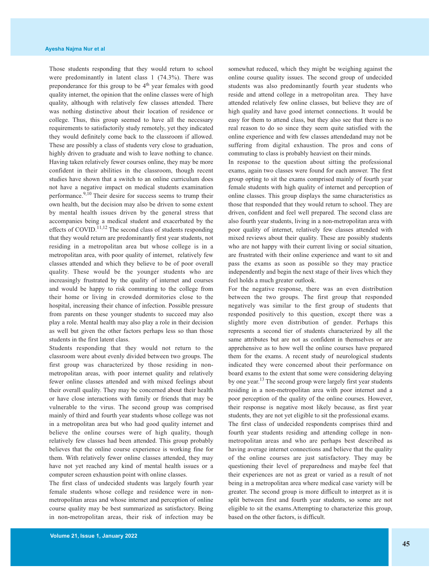Those students responding that they would return to school were predominantly in latent class 1 (74.3%). There was preponderance for this group to be  $4<sup>th</sup>$  year females with good quality internet, the opinion that the online classes were of high quality, although with relatively few classes attended. There was nothing distinctive about their location of residence or college. Thus, this group seemed to have all the necessary requirements to satisfactorily study remotely, yet they indicated they would definitely come back to the classroom if allowed. These are possibly a class of students very close to graduation, highly driven to graduate and wish to leave nothing to chance. Having taken relatively fewer courses online, they may be more confident in their abilities in the classroom, though recent studies have shown that a switch to an online curriculum does not have a negative impact on medical students examination performance.<sup>9,10</sup> Their desire for success seems to trump their own health, but the decision may also be driven to some extent by mental health issues driven by the general stress that accompanies being a medical student and exacerbated by the effects of COVID.<sup>11,12</sup> The second class of students responding that they would return are predominantly first year students, not residing in a metropolitan area but whose college is in a metropolitan area, with poor quality of internet, relatively few classes attended and which they believe to be of poor overall quality. These would be the younger students who are increasingly frustrated by the quality of internet and courses and would be happy to risk commuting to the college from their home or living in crowded dormitories close to the hospital, increasing their chance of infection. Possible pressure from parents on these younger students to succeed may also play a role. Mental health may also play a role in their decision as well but given the other factors perhaps less so than those students in the first latent class.

Students responding that they would not return to the classroom were about evenly divided between two groups. The first group was characterized by those residing in nonmetropolitan areas, with poor internet quality and relatively fewer online classes attended and with mixed feelings about their overall quality. They may be concerned about their health or have close interactions with family or friends that may be vulnerable to the virus. The second group was comprised mainly of third and fourth year students whose college was not in a metropolitan area but who had good quality internet and believe the online courses were of high quality, though relatively few classes had been attended. This group probably believes that the online course experience is working fine for them. With relatively fewer online classes attended, they may have not yet reached any kind of mental health issues or a computer screen exhaustion point with online classes.

The first class of undecided students was largely fourth year female students whose college and residence were in nonmetropolitan areas and whose internet and perception of online course quality may be best summarized as satisfactory. Being in non-metropolitan areas, their risk of infection may be somewhat reduced, which they might be weighing against the online course quality issues. The second group of undecided students was also predominantly fourth year students who reside and attend college in a metropolitan area. They have attended relatively few online classes, but believe they are of high quality and have good internet connections. It would be easy for them to attend class, but they also see that there is no real reason to do so since they seem quite satisfied with the online experience and with few classes attendedand may not be suffering from digital exhaustion. The pros and cons of commuting to class is probably heaviest on their minds.

In response to the question about sitting the professional exams, again two classes were found for each answer. The first group opting to sit the exams comprised mainly of fourth year female students with high quality of internet and perception of online classes. This group displays the same characteristics as those that responded that they would return to school. They are driven, confident and feel well prepared. The second class are also fourth year students, living in a non-metropolitan area with poor quality of internet, relatively few classes attended with mixed reviews about their quality. These are possibly students who are not happy with their current living or social situation, are frustrated with their online experience and want to sit and pass the exams as soon as possible so they may practice independently and begin the next stage of their lives which they feel holds a much greater outlook.

For the negative response, there was an even distribution between the two groups. The first group that responded negatively was similar to the first group of students that responded positively to this question, except there was a slightly more even distribution of gender. Perhaps this represents a second tier of students characterized by all the same attributes but are not as confident in themselves or are apprehensive as to how well the online courses have prepared them for the exams. A recent study of neurological students indicated they were concerned about their performance on board exams to the extent that some were considering delaying by one year.<sup>13</sup> The second group were largely first year students residing in a non-metropolitan area with poor internet and a poor perception of the quality of the online courses. However, their response is negative most likely because, as first year students, they are not yet eligible to sit the professional exams.

The first class of undecided respondents comprises third and fourth year students residing and attending college in nonmetropolitan areas and who are perhaps best described as having average internet connections and believe that the quality of the online courses are just satisfactory. They may be questioning their level of preparedness and maybe feel that their experiences are not as great or varied as a result of not being in a metropolitan area where medical case variety will be greater. The second group is more difficult to interpret as it is split between first and fourth year students, so some are not eligible to sit the exams.Attempting to characterize this group, based on the other factors, is difficult.